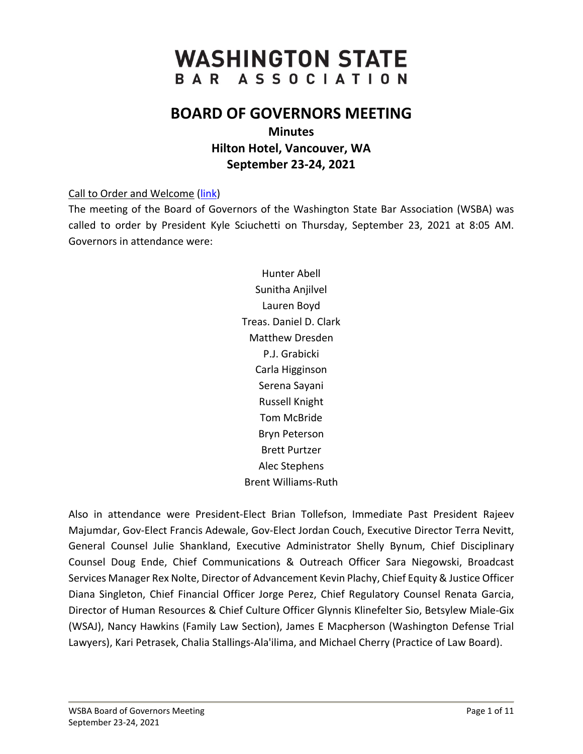# **WASHINGTON STATE** BAR ASSOCIATION

# **BOARD OF GOVERNORS MEETING**

**Minutes Hilton Hotel, Vancouver, WA September 23-24, 2021**

Call to Order and Welcome [\(link\)](https://www.youtube.com/watch?v=JwRSue6iLJA&list=PLh11oFW23b5gwgKhACBj4HvAnFYKPWc6q&index=1)

The meeting of the Board of Governors of the Washington State Bar Association (WSBA) was called to order by President Kyle Sciuchetti on Thursday, September 23, 2021 at 8:05 AM. Governors in attendance were:

> Hunter Abell Sunitha Anjilvel Lauren Boyd Treas. Daniel D. Clark Matthew Dresden P.J. Grabicki Carla Higginson Serena Sayani Russell Knight Tom McBride Bryn Peterson Brett Purtzer Alec Stephens Brent Williams-Ruth

Also in attendance were President-Elect Brian Tollefson, Immediate Past President Rajeev Majumdar, Gov-Elect Francis Adewale, Gov-Elect Jordan Couch, Executive Director Terra Nevitt, General Counsel Julie Shankland, Executive Administrator Shelly Bynum, Chief Disciplinary Counsel Doug Ende, Chief Communications & Outreach Officer Sara Niegowski, Broadcast Services Manager Rex Nolte, Director of Advancement Kevin Plachy, Chief Equity & Justice Officer Diana Singleton, Chief Financial Officer Jorge Perez, Chief Regulatory Counsel Renata Garcia, Director of Human Resources & Chief Culture Officer Glynnis Klinefelter Sio, Betsylew Miale-Gix (WSAJ), Nancy Hawkins (Family Law Section), James E Macpherson (Washington Defense Trial Lawyers), Kari Petrasek, Chalia Stallings-Ala'ilima, and Michael Cherry (Practice of Law Board).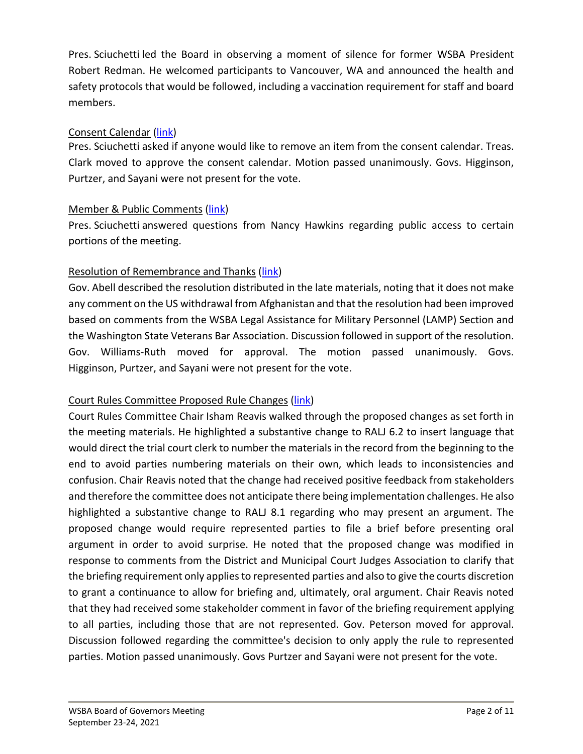Pres. Sciuchetti led the Board in observing a moment of silence for former WSBA President Robert Redman. He welcomed participants to Vancouver, WA and announced the health and safety protocols that would be followed, including a vaccination requirement for staff and board members.

#### Consent Calendar [\(link\)](https://www.youtube.com/watch?v=etbOUqS2TIY&list=PLh11oFW23b5gwgKhACBj4HvAnFYKPWc6q&index=2)

Pres. Sciuchetti asked if anyone would like to remove an item from the consent calendar. Treas. Clark moved to approve the consent calendar. Motion passed unanimously. Govs. Higginson, Purtzer, and Sayani were not present for the vote.

#### Member & Public Comments [\(link\)](https://www.youtube.com/watch?v=DsF2DCohPKg&list=PLh11oFW23b5gwgKhACBj4HvAnFYKPWc6q&index=3)

Pres. Sciuchetti answered questions from Nancy Hawkins regarding public access to certain portions of the meeting.

#### Resolution of Remembrance and Thanks [\(link\)](https://www.youtube.com/watch?v=9VcPcyZwdF4&list=PLh11oFW23b5gwgKhACBj4HvAnFYKPWc6q&index=4)

Gov. Abell described the resolution distributed in the late materials, noting that it does not make any comment on the US withdrawal from Afghanistan and that the resolution had been improved based on comments from the WSBA Legal Assistance for Military Personnel (LAMP) Section and the Washington State Veterans Bar Association. Discussion followed in support of the resolution. Gov. Williams-Ruth moved for approval. The motion passed unanimously. Govs. Higginson, Purtzer, and Sayani were not present for the vote.

# Court Rules Committee Proposed Rule Changes [\(link\)](https://www.youtube.com/watch?v=0_FtNcrdXjw&list=PLh11oFW23b5gwgKhACBj4HvAnFYKPWc6q&index=5)

Court Rules Committee Chair Isham Reavis walked through the proposed changes as set forth in the meeting materials. He highlighted a substantive change to RALJ 6.2 to insert language that would direct the trial court clerk to number the materials in the record from the beginning to the end to avoid parties numbering materials on their own, which leads to inconsistencies and confusion. Chair Reavis noted that the change had received positive feedback from stakeholders and therefore the committee does not anticipate there being implementation challenges. He also highlighted a substantive change to RALJ 8.1 regarding who may present an argument. The proposed change would require represented parties to file a brief before presenting oral argument in order to avoid surprise. He noted that the proposed change was modified in response to comments from the District and Municipal Court Judges Association to clarify that the briefing requirement only applies to represented parties and also to give the courts discretion to grant a continuance to allow for briefing and, ultimately, oral argument. Chair Reavis noted that they had received some stakeholder comment in favor of the briefing requirement applying to all parties, including those that are not represented. Gov. Peterson moved for approval. Discussion followed regarding the committee's decision to only apply the rule to represented parties. Motion passed unanimously. Govs Purtzer and Sayani were not present for the vote.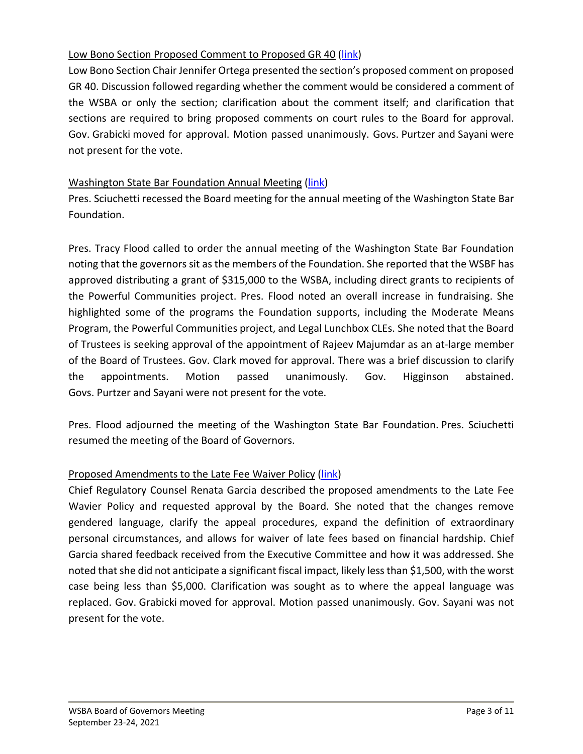#### Low Bono Section Proposed Comment to Proposed GR 40 [\(link\)](https://www.youtube.com/watch?v=34ur17eDtdY&list=PLh11oFW23b5gwgKhACBj4HvAnFYKPWc6q&index=6)

Low Bono Section Chair Jennifer Ortega presented the section's proposed comment on proposed GR 40. Discussion followed regarding whether the comment would be considered a comment of the WSBA or only the section; clarification about the comment itself; and clarification that sections are required to bring proposed comments on court rules to the Board for approval. Gov. Grabicki moved for approval. Motion passed unanimously. Govs. Purtzer and Sayani were not present for the vote.

#### Washington State Bar Foundation Annual Meeting [\(link\)](https://www.youtube.com/watch?v=byWtKS70tmc&list=PLh11oFW23b5gwgKhACBj4HvAnFYKPWc6q&index=7)

Pres. Sciuchetti recessed the Board meeting for the annual meeting of the Washington State Bar Foundation.

Pres. Tracy Flood called to order the annual meeting of the Washington State Bar Foundation noting that the governors sit as the members of the Foundation. She reported that the WSBF has approved distributing a grant of \$315,000 to the WSBA, including direct grants to recipients of the Powerful Communities project. Pres. Flood noted an overall increase in fundraising. She highlighted some of the programs the Foundation supports, including the Moderate Means Program, the Powerful Communities project, and Legal Lunchbox CLEs. She noted that the Board of Trustees is seeking approval of the appointment of Rajeev Majumdar as an at-large member of the Board of Trustees. Gov. Clark moved for approval. There was a brief discussion to clarify the appointments. Motion passed unanimously. Gov. Higginson abstained. Govs. Purtzer and Sayani were not present for the vote.

Pres. Flood adjourned the meeting of the Washington State Bar Foundation. Pres. Sciuchetti resumed the meeting of the Board of Governors.

# Proposed Amendments to the Late Fee Waiver Policy [\(link\)](https://www.youtube.com/watch?v=ipYvgK3tfRM&list=PLh11oFW23b5gwgKhACBj4HvAnFYKPWc6q&index=8)

Chief Regulatory Counsel Renata Garcia described the proposed amendments to the Late Fee Wavier Policy and requested approval by the Board. She noted that the changes remove gendered language, clarify the appeal procedures, expand the definition of extraordinary personal circumstances, and allows for waiver of late fees based on financial hardship. Chief Garcia shared feedback received from the Executive Committee and how it was addressed. She noted that she did not anticipate a significant fiscal impact, likely less than \$1,500, with the worst case being less than \$5,000. Clarification was sought as to where the appeal language was replaced. Gov. Grabicki moved for approval. Motion passed unanimously. Gov. Sayani was not present for the vote.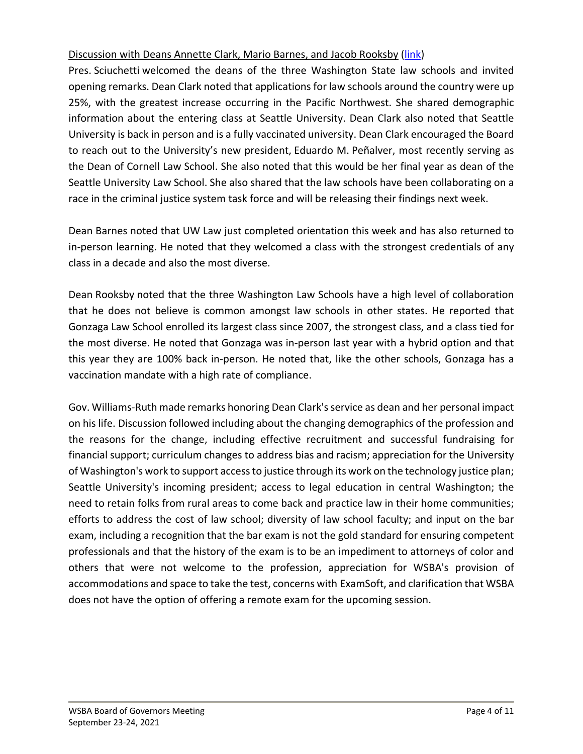#### Discussion with Deans Annette Clark, Mario Barnes, and Jacob Rooksby [\(link\)](https://www.youtube.com/watch?v=G2daEzcec-A&list=PLh11oFW23b5gwgKhACBj4HvAnFYKPWc6q&index=9)

Pres. Sciuchetti welcomed the deans of the three Washington State law schools and invited opening remarks. Dean Clark noted that applications for law schools around the country were up 25%, with the greatest increase occurring in the Pacific Northwest. She shared demographic information about the entering class at Seattle University. Dean Clark also noted that Seattle University is back in person and is a fully vaccinated university. Dean Clark encouraged the Board to reach out to the University's new president, Eduardo M. Peñalver, most recently serving as the Dean of Cornell Law School. She also noted that this would be her final year as dean of the Seattle University Law School. She also shared that the law schools have been collaborating on a race in the criminal justice system task force and will be releasing their findings next week.

Dean Barnes noted that UW Law just completed orientation this week and has also returned to in-person learning. He noted that they welcomed a class with the strongest credentials of any class in a decade and also the most diverse.

Dean Rooksby noted that the three Washington Law Schools have a high level of collaboration that he does not believe is common amongst law schools in other states. He reported that Gonzaga Law School enrolled its largest class since 2007, the strongest class, and a class tied for the most diverse. He noted that Gonzaga was in-person last year with a hybrid option and that this year they are 100% back in-person. He noted that, like the other schools, Gonzaga has a vaccination mandate with a high rate of compliance.

Gov. Williams-Ruth made remarks honoring Dean Clark's service as dean and her personal impact on his life. Discussion followed including about the changing demographics of the profession and the reasons for the change, including effective recruitment and successful fundraising for financial support; curriculum changes to address bias and racism; appreciation for the University of Washington's work to support access to justice through its work on the technology justice plan; Seattle University's incoming president; access to legal education in central Washington; the need to retain folks from rural areas to come back and practice law in their home communities; efforts to address the cost of law school; diversity of law school faculty; and input on the bar exam, including a recognition that the bar exam is not the gold standard for ensuring competent professionals and that the history of the exam is to be an impediment to attorneys of color and others that were not welcome to the profession, appreciation for WSBA's provision of accommodations and space to take the test, concerns with ExamSoft, and clarification that WSBA does not have the option of offering a remote exam for the upcoming session.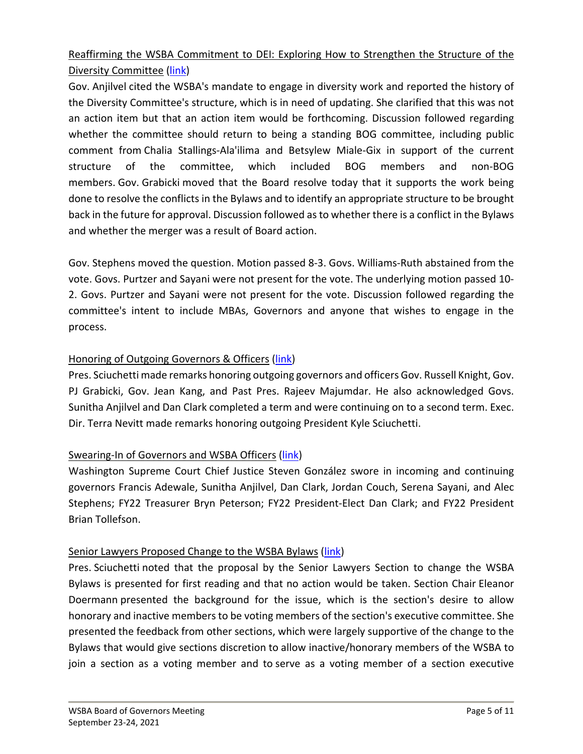# Reaffirming the WSBA Commitment to DEI: Exploring How to Strengthen the Structure of the Diversity Committee [\(link\)](https://www.youtube.com/watch?v=vVtmo21phRs&list=PLh11oFW23b5gwgKhACBj4HvAnFYKPWc6q&index=10)

Gov. Anjilvel cited the WSBA's mandate to engage in diversity work and reported the history of the Diversity Committee's structure, which is in need of updating. She clarified that this was not an action item but that an action item would be forthcoming. Discussion followed regarding whether the committee should return to being a standing BOG committee, including public comment from Chalia Stallings-Ala'ilima and Betsylew Miale-Gix in support of the current structure of the committee, which included BOG members and non-BOG members. Gov. Grabicki moved that the Board resolve today that it supports the work being done to resolve the conflicts in the Bylaws and to identify an appropriate structure to be brought back in the future for approval. Discussion followed as to whether there is a conflict in the Bylaws and whether the merger was a result of Board action.

Gov. Stephens moved the question. Motion passed 8-3. Govs. Williams-Ruth abstained from the vote. Govs. Purtzer and Sayani were not present for the vote. The underlying motion passed 10- 2. Govs. Purtzer and Sayani were not present for the vote. Discussion followed regarding the committee's intent to include MBAs, Governors and anyone that wishes to engage in the process.

#### Honoring of Outgoing Governors & Officers [\(link\)](https://www.youtube.com/watch?v=K3Tij2IX1_Q&list=PLh11oFW23b5gwgKhACBj4HvAnFYKPWc6q&index=11)

Pres. Sciuchetti made remarks honoring outgoing governors and officers Gov. Russell Knight, Gov. PJ Grabicki, Gov. Jean Kang, and Past Pres. Rajeev Majumdar. He also acknowledged Govs. Sunitha Anjilvel and Dan Clark completed a term and were continuing on to a second term. Exec. Dir. Terra Nevitt made remarks honoring outgoing President Kyle Sciuchetti.

#### Swearing-In of Governors and WSBA Officers [\(link\)](https://www.youtube.com/watch?v=Y5tcG1ymwr8&list=PLh11oFW23b5gwgKhACBj4HvAnFYKPWc6q&index=12)

Washington Supreme Court Chief Justice Steven González swore in incoming and continuing governors Francis Adewale, Sunitha Anjilvel, Dan Clark, Jordan Couch, Serena Sayani, and Alec Stephens; FY22 Treasurer Bryn Peterson; FY22 President-Elect Dan Clark; and FY22 President Brian Tollefson.

#### Senior Lawyers Proposed Change to the WSBA Bylaws [\(link\)](https://www.youtube.com/watch?v=L7AFi1kcsXY&list=PLh11oFW23b5gwgKhACBj4HvAnFYKPWc6q&index=13)

Pres. Sciuchetti noted that the proposal by the Senior Lawyers Section to change the WSBA Bylaws is presented for first reading and that no action would be taken. Section Chair Eleanor Doermann presented the background for the issue, which is the section's desire to allow honorary and inactive members to be voting members of the section's executive committee. She presented the feedback from other sections, which were largely supportive of the change to the Bylaws that would give sections discretion to allow inactive/honorary members of the WSBA to join a section as a voting member and to serve as a voting member of a section executive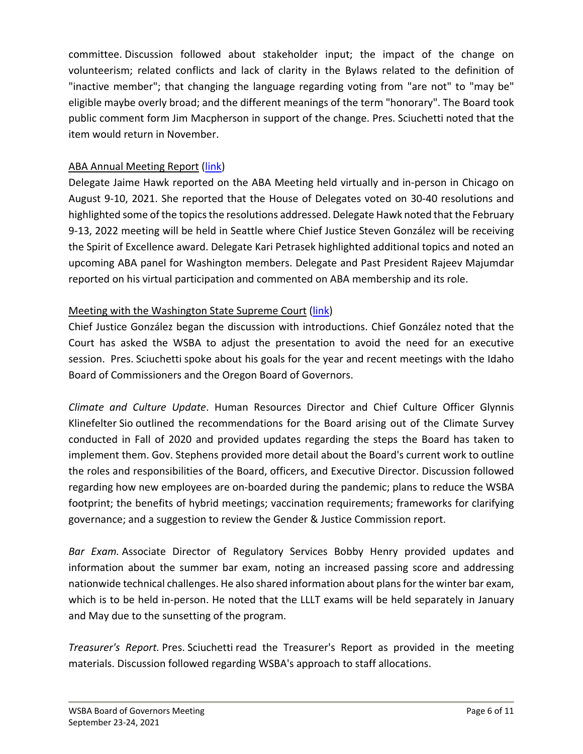committee. Discussion followed about stakeholder input; the impact of the change on volunteerism; related conflicts and lack of clarity in the Bylaws related to the definition of "inactive member"; that changing the language regarding voting from "are not" to "may be" eligible maybe overly broad; and the different meanings of the term "honorary". The Board took public comment form Jim Macpherson in support of the change. Pres. Sciuchetti noted that the item would return in November.

#### ABA Annual Meeting Report [\(link\)](https://www.youtube.com/watch?v=rrw3gMBHyaA&list=PLh11oFW23b5gwgKhACBj4HvAnFYKPWc6q&index=14)

Delegate Jaime Hawk reported on the ABA Meeting held virtually and in-person in Chicago on August 9-10, 2021. She reported that the House of Delegates voted on 30-40 resolutions and highlighted some of the topics the resolutions addressed. Delegate Hawk noted that the February 9-13, 2022 meeting will be held in Seattle where Chief Justice Steven González will be receiving the Spirit of Excellence award. Delegate Kari Petrasek highlighted additional topics and noted an upcoming ABA panel for Washington members. Delegate and Past President Rajeev Majumdar reported on his virtual participation and commented on ABA membership and its role.

# Meeting with the Washington State Supreme Court [\(link\)](https://www.youtube.com/watch?v=krMEjBnqns0&list=PLh11oFW23b5gwgKhACBj4HvAnFYKPWc6q&index=15)

Chief Justice González began the discussion with introductions. Chief González noted that the Court has asked the WSBA to adjust the presentation to avoid the need for an executive session. Pres. Sciuchetti spoke about his goals for the year and recent meetings with the Idaho Board of Commissioners and the Oregon Board of Governors.

*Climate and Culture Update*. Human Resources Director and Chief Culture Officer Glynnis Klinefelter Sio outlined the recommendations for the Board arising out of the Climate Survey conducted in Fall of 2020 and provided updates regarding the steps the Board has taken to implement them. Gov. Stephens provided more detail about the Board's current work to outline the roles and responsibilities of the Board, officers, and Executive Director. Discussion followed regarding how new employees are on-boarded during the pandemic; plans to reduce the WSBA footprint; the benefits of hybrid meetings; vaccination requirements; frameworks for clarifying governance; and a suggestion to review the Gender & Justice Commission report.

*Bar Exam.* Associate Director of Regulatory Services Bobby Henry provided updates and information about the summer bar exam, noting an increased passing score and addressing nationwide technical challenges. He also shared information about plans for the winter bar exam, which is to be held in-person. He noted that the LLLT exams will be held separately in January and May due to the sunsetting of the program.

*Treasurer's Report.* Pres. Sciuchetti read the Treasurer's Report as provided in the meeting materials. Discussion followed regarding WSBA's approach to staff allocations.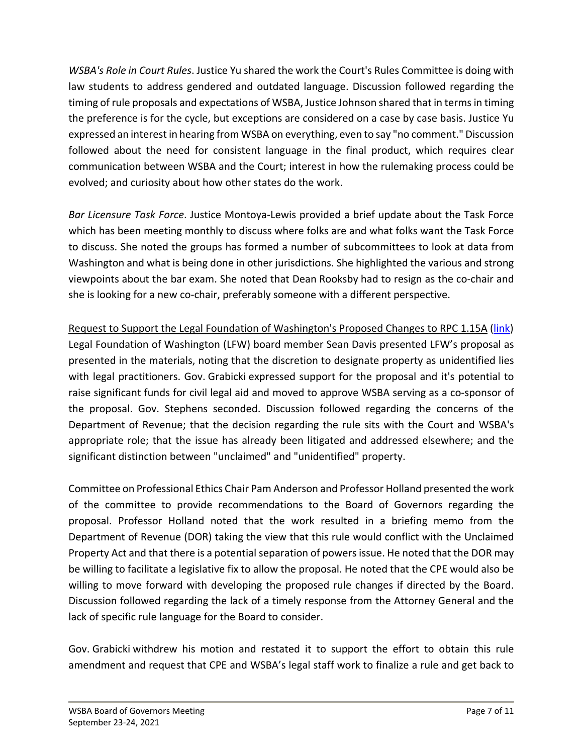*WSBA's Role in Court Rules*. Justice Yu shared the work the Court's Rules Committee is doing with law students to address gendered and outdated language. Discussion followed regarding the timing of rule proposals and expectations of WSBA, Justice Johnson shared that in terms in timing the preference is for the cycle, but exceptions are considered on a case by case basis. Justice Yu expressed an interest in hearing from WSBA on everything, even to say "no comment." Discussion followed about the need for consistent language in the final product, which requires clear communication between WSBA and the Court; interest in how the rulemaking process could be evolved; and curiosity about how other states do the work.

*Bar Licensure Task Force*. Justice Montoya-Lewis provided a brief update about the Task Force which has been meeting monthly to discuss where folks are and what folks want the Task Force to discuss. She noted the groups has formed a number of subcommittees to look at data from Washington and what is being done in other jurisdictions. She highlighted the various and strong viewpoints about the bar exam. She noted that Dean Rooksby had to resign as the co-chair and she is looking for a new co-chair, preferably someone with a different perspective.

Request to Support the Legal Foundation of Washington's Proposed Changes to RPC 1.15A [\(link\)](https://www.youtube.com/watch?v=sy1bByjO8Uo&list=PLh11oFW23b5gwgKhACBj4HvAnFYKPWc6q&index=16) Legal Foundation of Washington (LFW) board member Sean Davis presented LFW's proposal as presented in the materials, noting that the discretion to designate property as unidentified lies with legal practitioners. Gov. Grabicki expressed support for the proposal and it's potential to raise significant funds for civil legal aid and moved to approve WSBA serving as a co-sponsor of the proposal. Gov. Stephens seconded. Discussion followed regarding the concerns of the Department of Revenue; that the decision regarding the rule sits with the Court and WSBA's appropriate role; that the issue has already been litigated and addressed elsewhere; and the significant distinction between "unclaimed" and "unidentified" property.

Committee on Professional Ethics Chair Pam Anderson and Professor Holland presented the work of the committee to provide recommendations to the Board of Governors regarding the proposal. Professor Holland noted that the work resulted in a briefing memo from the Department of Revenue (DOR) taking the view that this rule would conflict with the Unclaimed Property Act and that there is a potential separation of powers issue. He noted that the DOR may be willing to facilitate a legislative fix to allow the proposal. He noted that the CPE would also be willing to move forward with developing the proposed rule changes if directed by the Board. Discussion followed regarding the lack of a timely response from the Attorney General and the lack of specific rule language for the Board to consider.

Gov. Grabicki withdrew his motion and restated it to support the effort to obtain this rule amendment and request that CPE and WSBA's legal staff work to finalize a rule and get back to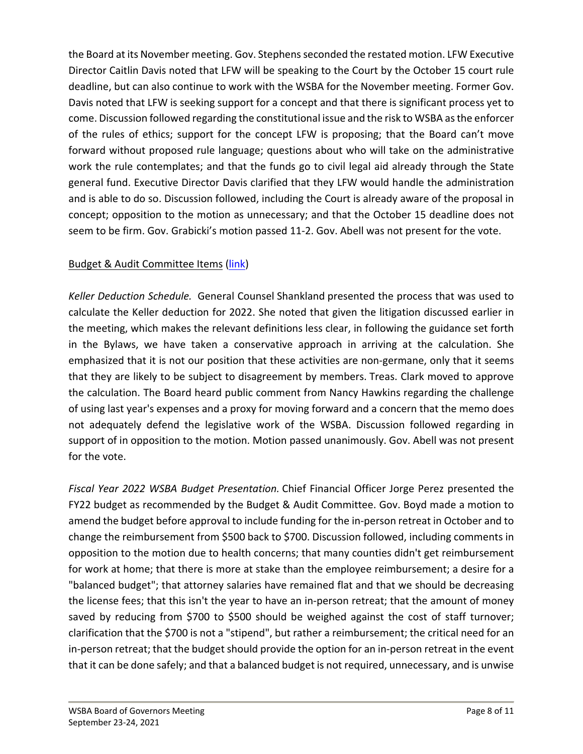the Board at its November meeting. Gov. Stephens seconded the restated motion. LFW Executive Director Caitlin Davis noted that LFW will be speaking to the Court by the October 15 court rule deadline, but can also continue to work with the WSBA for the November meeting. Former Gov. Davis noted that LFW is seeking support for a concept and that there is significant process yet to come. Discussion followed regarding the constitutional issue and the risk to WSBA as the enforcer of the rules of ethics; support for the concept LFW is proposing; that the Board can't move forward without proposed rule language; questions about who will take on the administrative work the rule contemplates; and that the funds go to civil legal aid already through the State general fund. Executive Director Davis clarified that they LFW would handle the administration and is able to do so. Discussion followed, including the Court is already aware of the proposal in concept; opposition to the motion as unnecessary; and that the October 15 deadline does not seem to be firm. Gov. Grabicki's motion passed 11-2. Gov. Abell was not present for the vote.

# Budget & Audit Committee Items [\(link\)](https://www.youtube.com/watch?v=R9hc0PcwqTU&list=PLh11oFW23b5gwgKhACBj4HvAnFYKPWc6q&index=17)

*Keller Deduction Schedule.* General Counsel Shankland presented the process that was used to calculate the Keller deduction for 2022. She noted that given the litigation discussed earlier in the meeting, which makes the relevant definitions less clear, in following the guidance set forth in the Bylaws, we have taken a conservative approach in arriving at the calculation. She emphasized that it is not our position that these activities are non-germane, only that it seems that they are likely to be subject to disagreement by members. Treas. Clark moved to approve the calculation. The Board heard public comment from Nancy Hawkins regarding the challenge of using last year's expenses and a proxy for moving forward and a concern that the memo does not adequately defend the legislative work of the WSBA. Discussion followed regarding in support of in opposition to the motion. Motion passed unanimously. Gov. Abell was not present for the vote.

*Fiscal Year 2022 WSBA Budget Presentation.* Chief Financial Officer Jorge Perez presented the FY22 budget as recommended by the Budget & Audit Committee. Gov. Boyd made a motion to amend the budget before approval to include funding for the in-person retreat in October and to change the reimbursement from \$500 back to \$700. Discussion followed, including comments in opposition to the motion due to health concerns; that many counties didn't get reimbursement for work at home; that there is more at stake than the employee reimbursement; a desire for a "balanced budget"; that attorney salaries have remained flat and that we should be decreasing the license fees; that this isn't the year to have an in-person retreat; that the amount of money saved by reducing from \$700 to \$500 should be weighed against the cost of staff turnover; clarification that the \$700 is not a "stipend", but rather a reimbursement; the critical need for an in-person retreat; that the budget should provide the option for an in-person retreat in the event that it can be done safely; and that a balanced budget is not required, unnecessary, and is unwise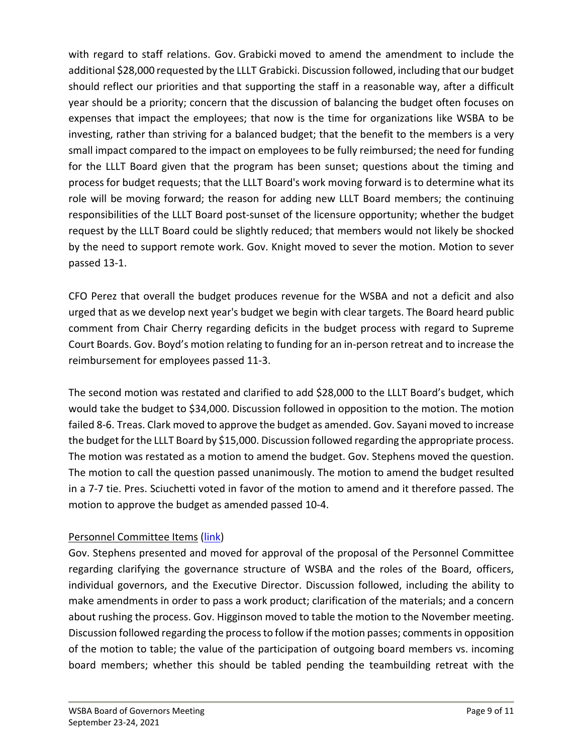with regard to staff relations. Gov. Grabicki moved to amend the amendment to include the additional \$28,000 requested by the LLLT Grabicki. Discussion followed, including that our budget should reflect our priorities and that supporting the staff in a reasonable way, after a difficult year should be a priority; concern that the discussion of balancing the budget often focuses on expenses that impact the employees; that now is the time for organizations like WSBA to be investing, rather than striving for a balanced budget; that the benefit to the members is a very small impact compared to the impact on employees to be fully reimbursed; the need for funding for the LLLT Board given that the program has been sunset; questions about the timing and process for budget requests; that the LLLT Board's work moving forward is to determine what its role will be moving forward; the reason for adding new LLLT Board members; the continuing responsibilities of the LLLT Board post-sunset of the licensure opportunity; whether the budget request by the LLLT Board could be slightly reduced; that members would not likely be shocked by the need to support remote work. Gov. Knight moved to sever the motion. Motion to sever passed 13-1.

CFO Perez that overall the budget produces revenue for the WSBA and not a deficit and also urged that as we develop next year's budget we begin with clear targets. The Board heard public comment from Chair Cherry regarding deficits in the budget process with regard to Supreme Court Boards. Gov. Boyd's motion relating to funding for an in-person retreat and to increase the reimbursement for employees passed 11-3.

The second motion was restated and clarified to add \$28,000 to the LLLT Board's budget, which would take the budget to \$34,000. Discussion followed in opposition to the motion. The motion failed 8-6. Treas. Clark moved to approve the budget as amended. Gov. Sayani moved to increase the budget for the LLLT Board by \$15,000. Discussion followed regarding the appropriate process. The motion was restated as a motion to amend the budget. Gov. Stephens moved the question. The motion to call the question passed unanimously. The motion to amend the budget resulted in a 7-7 tie. Pres. Sciuchetti voted in favor of the motion to amend and it therefore passed. The motion to approve the budget as amended passed 10-4.

# Personnel Committee Items [\(link\)](https://www.youtube.com/watch?v=YXnhOMVfrTk&list=PLh11oFW23b5gwgKhACBj4HvAnFYKPWc6q&index=18)

Gov. Stephens presented and moved for approval of the proposal of the Personnel Committee regarding clarifying the governance structure of WSBA and the roles of the Board, officers, individual governors, and the Executive Director. Discussion followed, including the ability to make amendments in order to pass a work product; clarification of the materials; and a concern about rushing the process. Gov. Higginson moved to table the motion to the November meeting. Discussion followed regarding the process to follow if the motion passes; comments in opposition of the motion to table; the value of the participation of outgoing board members vs. incoming board members; whether this should be tabled pending the teambuilding retreat with the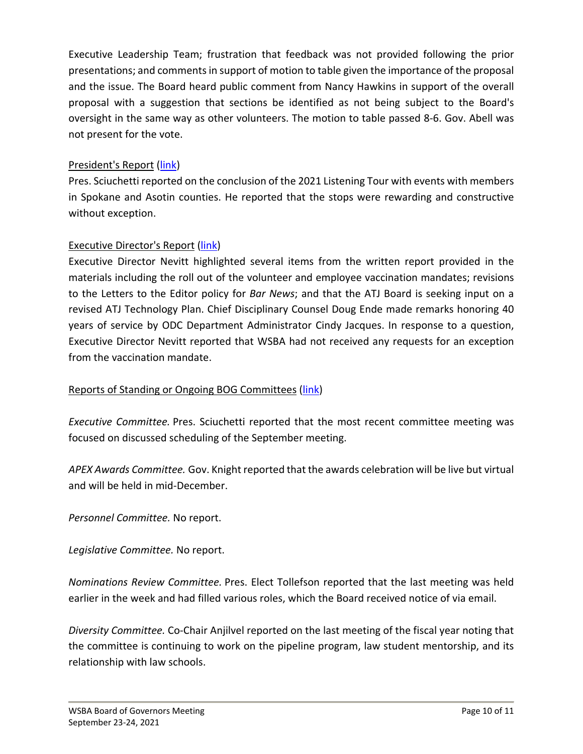Executive Leadership Team; frustration that feedback was not provided following the prior presentations; and comments in support of motion to table given the importance of the proposal and the issue. The Board heard public comment from Nancy Hawkins in support of the overall proposal with a suggestion that sections be identified as not being subject to the Board's oversight in the same way as other volunteers. The motion to table passed 8-6. Gov. Abell was not present for the vote.

# President's Report [\(link\)](https://www.youtube.com/watch?v=40-gj1IjWoI&list=PLh11oFW23b5gwgKhACBj4HvAnFYKPWc6q&index=19)

Pres. Sciuchetti reported on the conclusion of the 2021 Listening Tour with events with members in Spokane and Asotin counties. He reported that the stops were rewarding and constructive without exception.

#### Executive Director's Report [\(link\)](https://www.youtube.com/watch?v=RkUZp2J1ZHA&list=PLh11oFW23b5gwgKhACBj4HvAnFYKPWc6q&index=20)

Executive Director Nevitt highlighted several items from the written report provided in the materials including the roll out of the volunteer and employee vaccination mandates; revisions to the Letters to the Editor policy for *Bar News*; and that the ATJ Board is seeking input on a revised ATJ Technology Plan. Chief Disciplinary Counsel Doug Ende made remarks honoring 40 years of service by ODC Department Administrator Cindy Jacques. In response to a question, Executive Director Nevitt reported that WSBA had not received any requests for an exception from the vaccination mandate.

# Reports of Standing or Ongoing BOG Committees [\(link\)](https://www.youtube.com/watch?v=0jM3WfPX-9w&list=PLh11oFW23b5gwgKhACBj4HvAnFYKPWc6q&index=21)

*Executive Committee.* Pres. Sciuchetti reported that the most recent committee meeting was focused on discussed scheduling of the September meeting.

*APEX Awards Committee.* Gov. Knight reported that the awards celebration will be live but virtual and will be held in mid-December.

*Personnel Committee.* No report.

*Legislative Committee.* No report.

*Nominations Review Committee.* Pres. Elect Tollefson reported that the last meeting was held earlier in the week and had filled various roles, which the Board received notice of via email.

*Diversity Committee.* Co-Chair Anjilvel reported on the last meeting of the fiscal year noting that the committee is continuing to work on the pipeline program, law student mentorship, and its relationship with law schools.